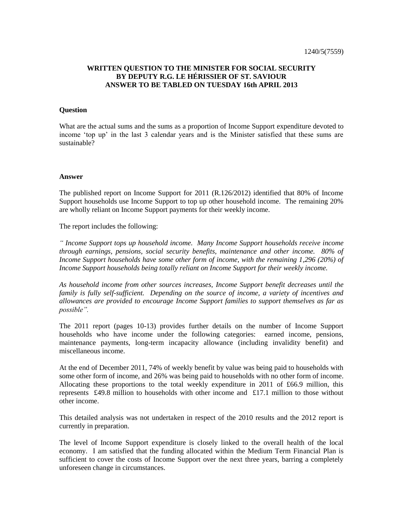## **WRITTEN QUESTION TO THE MINISTER FOR SOCIAL SECURITY BY DEPUTY R.G. LE HÉRISSIER OF ST. SAVIOUR ANSWER TO BE TABLED ON TUESDAY 16th APRIL 2013**

## **Question**

What are the actual sums and the sums as a proportion of Income Support expenditure devoted to income 'top up' in the last 3 calendar years and is the Minister satisfied that these sums are sustainable?

## **Answer**

The published report on Income Support for 2011 (R.126/2012) identified that 80% of Income Support households use Income Support to top up other household income. The remaining 20% are wholly reliant on Income Support payments for their weekly income.

The report includes the following:

*" Income Support tops up household income. Many Income Support households receive income through earnings, pensions, social security benefits, maintenance and other income. 80% of Income Support households have some other form of income, with the remaining 1,296 (20%) of Income Support households being totally reliant on Income Support for their weekly income.*

*As household income from other sources increases, Income Support benefit decreases until the family is fully self-sufficient. Depending on the source of income, a variety of incentives and allowances are provided to encourage Income Support families to support themselves as far as possible".*

The 2011 report (pages 10-13) provides further details on the number of Income Support households who have income under the following categories: earned income, pensions, maintenance payments, long-term incapacity allowance (including invalidity benefit) and miscellaneous income.

At the end of December 2011, 74% of weekly benefit by value was being paid to households with some other form of income, and 26% was being paid to households with no other form of income. Allocating these proportions to the total weekly expenditure in 2011 of £66.9 million, this represents £49.8 million to households with other income and £17.1 million to those without other income.

This detailed analysis was not undertaken in respect of the 2010 results and the 2012 report is currently in preparation.

The level of Income Support expenditure is closely linked to the overall health of the local economy. I am satisfied that the funding allocated within the Medium Term Financial Plan is sufficient to cover the costs of Income Support over the next three years, barring a completely unforeseen change in circumstances.